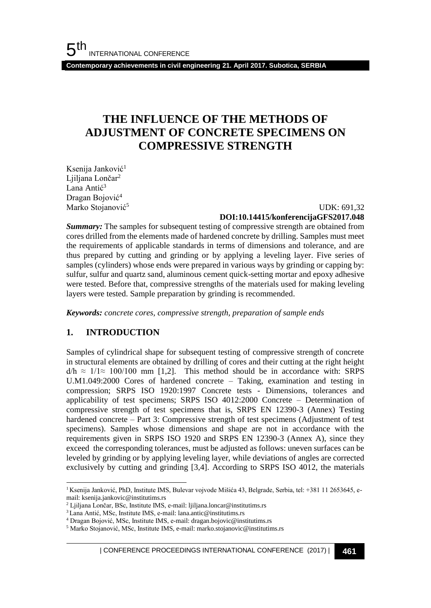**Contemporary achievements in civil engineering 21. April 2017. Subotica, SERBIA**

## **THE INFLUENCE OF THE METHODS OF ADJUSTMENT OF CONCRETE SPECIMENS ON COMPRESSIVE STRENGTH**

Ksenija Janković<sup>1</sup> Ljiljana Lončar<sup>2</sup> Lana Antić<sup>3</sup> Dragan Bojović<sup>4</sup> Marko Stojanović<sup>5</sup>

 UDK: 691,32 **DOI:10.14415/konferencijaGFS2017.048**

*Summary:* The samples for subsequent testing of compressive strength are obtained from cores drilled from the elements made of hardened concrete by drilling. Samples must meet the requirements of applicable standards in terms of dimensions and tolerance, and are thus prepared by cutting and grinding or by applying a leveling layer. Five series of samples (cylinders) whose ends were prepared in various ways by grinding or capping by: sulfur, sulfur and quartz sand, aluminous cement quick-setting mortar and epoxy adhesive were tested. Before that, compressive strengths of the materials used for making leveling layers were tested. Sample preparation by grinding is recommended.

*Keywords: concrete cores, compressive strength, preparation of sample ends*

## **1. INTRODUCTION**

Samples of cylindrical shape for subsequent testing of compressive strength of concrete in structural elements are obtained by drilling of cores and their cutting at the right height  $d/h \approx 1/1 \approx 100/100$  mm [1,2]. This method should be in accordance with: SRPS U.M1.049:2000 Cores of hardened concrete – Taking, examination and testing in compression; SRPS ISO 1920:1997 Concrete tests - Dimensions, tolerances and applicability of test specimens; SRPS ISO 4012:2000 Concrete – Determination of compressive strength of test specimens that is, SRPS EN 12390-3 (Annex) Testing hardened concrete – Part 3: Compressive strength of test specimens (Adjustment of test specimens). Samples whose dimensions and shape are not in accordance with the requirements given in SRPS ISO 1920 and SRPS EN 12390-3 (Annex A), since they exceed the corresponding tolerances, must be adjusted as follows: uneven surfaces can be leveled by grinding or by applying leveling layer, while deviations of angles are corrected exclusively by cutting and grinding [3,4]. According to SRPS ISO 4012, the materials

l <sup>1</sup> Ksenija Janković, PhD, Institute IMS, Bulevar vojvode Mišića 43, Belgrade, Serbia, tel: +381 11 2653645, email: ksenija.jankovic@institutims.rs

<sup>2</sup> Ljiljana Lončar, BSc, Institute IMS, e-mail: ljiljana.loncar@institutims.rs

<sup>3</sup> Lana Antić, MSc, Institute IMS, e-mail: lana.antic@institutims.rs

<sup>4</sup> Dragan Bojović, MSc, Institute IMS, e-mail: dragan.bojovic@institutims.rs

<sup>5</sup> Marko Stojanović, MSc, Institute IMS, e-mail: marko.stojanovic@institutims.rs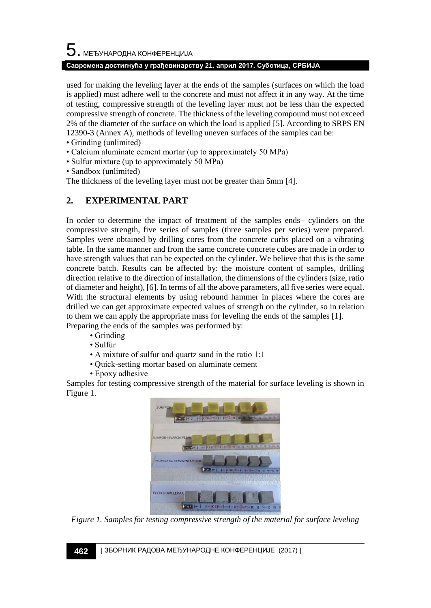# $\mathbf 5$ . међународна конференција

#### **Савремена достигнућа у грађевинарству 21. април 2017. Суботица, СРБИЈА**

used for making the leveling layer at the ends of the samples (surfaces on which the load is applied) must adhere well to the concrete and must not affect it in any way. At the time of testing, compressive strength of the leveling layer must not be less than the expected compressive strength of concrete. The thickness of the leveling compound must not exceed 2% of the diameter of the surface on which the load is applied [5]. According to SRPS EN 12390-3 (Annex A), methods of leveling uneven surfaces of the samples can be:

- Grinding (unlimited)
- Calcium aluminate cement mortar (up to approximately 50 MPa)
- Sulfur mixture (up to approximately 50 MPa)
- Sandbox (unlimited)

The thickness of the leveling layer must not be greater than 5mm [4].

## **2. EXPERIMENTAL PART**

In order to determine the impact of treatment of the samples ends– cylinders on the compressive strength, five series of samples (three samples per series) were prepared. Samples were obtained by drilling cores from the concrete curbs placed on a vibrating table. In the same manner and from the same concrete concrete cubes are made in order to have strength values that can be expected on the cylinder. We believe that this is the same concrete batch. Results can be affected by: the moisture content of samples, drilling direction relative to the direction of installation, the dimensions of the cylinders (size, ratio of diameter and height), [6]. In terms of all the above parameters, all five series were equal. With the structural elements by using rebound hammer in places where the cores are drilled we can get approximate expected values of strength on the cylinder, so in relation to them we can apply the appropriate mass for leveling the ends of the samples [1]. Preparing the ends of the samples was performed by:

- Grinding
- Sulfur
- A mixture of sulfur and quartz sand in the ratio 1:1
- Quick-setting mortar based on aluminate cement
- Epoxy adhesive

Samples for testing compressive strength of the material for surface leveling is shown in Figure 1.



*Figure 1. Samples for testing compressive strength of the material for surface leveling*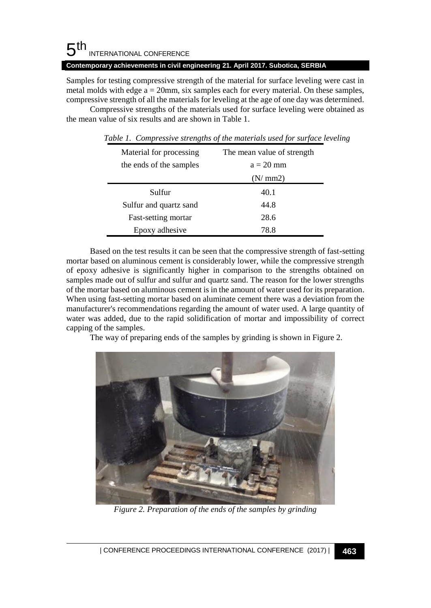#### 5 th INTERNATIONAL CONFERENCE

#### **Contemporary achievements in civil engineering 21. April 2017. Subotica, SERBIA**

Samples for testing compressive strength of the material for surface leveling were cast in metal molds with edge  $a = 20$ mm, six samples each for every material. On these samples, compressive strength of all the materials for leveling at the age of one day was determined.

Compressive strengths of the materials used for surface leveling were obtained as the mean value of six results and are shown in Table 1.

| Material for processing | The mean value of strength |
|-------------------------|----------------------------|
| the ends of the samples | $a = 20$ mm                |
|                         | (N/mm2)                    |
| Sulfur                  | 40.1                       |
| Sulfur and quartz sand  | 44.8                       |
| Fast-setting mortar     | 28.6                       |
| Epoxy adhesive          | 78.8                       |

*Table 1. Compressive strengths of the materials used for surface leveling*

Based on the test results it can be seen that the compressive strength of fast-setting mortar based on aluminous cement is considerably lower, while the compressive strength of epoxy adhesive is significantly higher in comparison to the strengths obtained on samples made out of sulfur and sulfur and quartz sand. The reason for the lower strengths of the mortar based on aluminous cement is in the amount of water used for its preparation. When using fast-setting mortar based on aluminate cement there was a deviation from the manufacturer's recommendations regarding the amount of water used. A large quantity of water was added, due to the rapid solidification of mortar and impossibility of correct capping of the samples.

The way of preparing ends of the samples by grinding is shown in Figure 2.



*Figure 2. Preparation of the ends of the samples by grinding*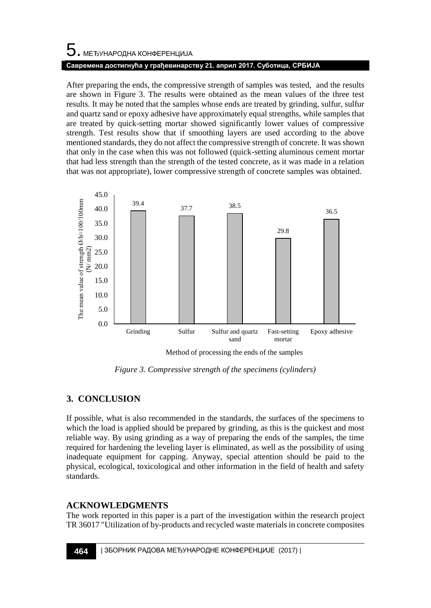# 5. МЕЂУНАРОДНА КОНФЕРЕНЦИЈА **Савремена достигнућа у грађевинарству 21. април 2017. Суботица, СРБИЈА**

After preparing the ends, the compressive strength of samples was tested, and the results are shown in Figure 3. The results were obtained as the mean values of the three test results. It may be noted that the samples whose ends are treated by grinding, sulfur, sulfur and quartz sand or epoxy adhesive have approximately equal strengths, while samples that are treated by quick-setting mortar showed significantly lower values of compressive strength. Test results show that if smoothing layers are used according to the above mentioned standards, they do not affect the compressive strength of concrete. It was shown that only in the case when this was not followed (quick-setting aluminous cement mortar that had less strength than the strength of the tested concrete, as it was made in a relation that was not appropriate), lower compressive strength of concrete samples was obtained.



Method of processing the ends of the samples

*Figure 3. Compressive strength of the specimens (cylinders)*

## **3. CONCLUSION**

If possible, what is also recommended in the standards, the surfaces of the specimens to which the load is applied should be prepared by grinding, as this is the quickest and most reliable way. By using grinding as a way of preparing the ends of the samples, the time required for hardening the leveling layer is eliminated, as well as the possibility of using inadequate equipment for capping. Anyway, special attention should be paid to the physical, ecological, toxicological and other information in the field of health and safety standards.

## **ACKNOWLEDGMENTS**

The work reported in this paper is a part of the investigation within the research project TR 36017 "Utilization of by-products and recycled waste materials in concrete composites